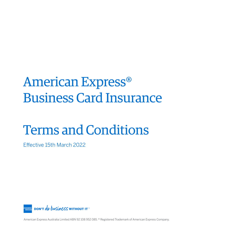# American Express® Business Card Insurance

# Terms and Conditions

Effective 15th March 2022



American Express Australia Limited ABN 92 108 952 085. ® Registered Trademark of American Express Company.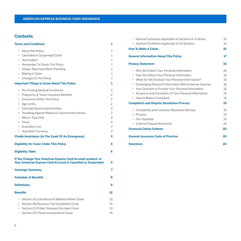## **Contents**

| <b>Terms and Conditions</b>                                                                                                                                                                                                                                                                                                                                       | ı                                                                             |
|-------------------------------------------------------------------------------------------------------------------------------------------------------------------------------------------------------------------------------------------------------------------------------------------------------------------------------------------------------------------|-------------------------------------------------------------------------------|
| • About this Policy<br>• Cancelled or Suspended Cards<br>• Termination<br>• Remember To Check This Policy<br>• Always Take Care When Travelling                                                                                                                                                                                                                   | 1<br>$\mathbf{1}$<br>1<br>1<br>1                                              |
| • Making a Claim<br>• Changes to This Policy                                                                                                                                                                                                                                                                                                                      | $\mathbf{1}$<br>1                                                             |
| <b>Important Things to Know About This Policy</b>                                                                                                                                                                                                                                                                                                                 | 1                                                                             |
| • Pre-Existing Medical Conditions<br>• Pregnancy & Travel Insurance Benefits<br>• Exclusions Within This Policy<br>• Age Limits<br>• Excluded Sports and Activities<br>• Travelling Against Medical or Government Advice<br>• Return Trips Only<br>• Fraud<br>• Australian Law<br>• Australian Currency<br><b>Chubb Assistance (In The Event Of An Emergency)</b> | 2<br>2<br>$\overline{c}$<br>$\overline{c}$<br>3<br>3<br>3<br>3<br>3<br>3<br>3 |
| <b>Eligibility for Cover Under This Policy</b>                                                                                                                                                                                                                                                                                                                    | 4                                                                             |
| <b>Eligibility Table</b>                                                                                                                                                                                                                                                                                                                                          | 4                                                                             |
| If You Change Your American Express Card Account product, or<br>Your American Express Card Account Is Cancelled or Suspended                                                                                                                                                                                                                                      | 5                                                                             |
| <b>Coverage Summary</b>                                                                                                                                                                                                                                                                                                                                           | 7                                                                             |
| <b>Schedule of Benefits</b>                                                                                                                                                                                                                                                                                                                                       | 8                                                                             |
| <b>Definitions</b>                                                                                                                                                                                                                                                                                                                                                | 9                                                                             |
| <b>Benefits</b>                                                                                                                                                                                                                                                                                                                                                   | 12                                                                            |
| Section (A) Card Account Balance Waiver Cover<br>$\bullet$<br>Section (B) Business Trip Completion Cover<br>$\bullet$<br>• Section (C) Public Transport Accident Cover                                                                                                                                                                                            | 12<br>13<br>13                                                                |
| Section (D) Travel Inconvenience Cover<br>$\bullet$                                                                                                                                                                                                                                                                                                               | 14                                                                            |

| • General Exclusions Applicable to Sections A-D Above             | 15 |
|-------------------------------------------------------------------|----|
| General Conditions Applicable to All Sections<br>٠                | 16 |
| <b>How To Make A Claim</b>                                        | 16 |
| <b>General Information About This Policy</b>                      | 17 |
| <b>Privacy Statement</b>                                          | 18 |
| Why We Collect Your Personal Information<br>٠                     | 18 |
| How We Obtain Your Personal Information<br>٠                      | 18 |
| When Do We Disclose Your Personal Information?<br>٠               | 18 |
| <b>Exchanging Personal Information With American Express</b><br>٠ | 18 |
| • Your Decision to Provide Your Personal Information              | 18 |
| Access to and Correction of Your Personal Information<br>٠        | 19 |
| How to Make a Complaint<br>٠                                      | 19 |
| <b>Complaints and Dispute Resolution Process</b>                  | 19 |
| <b>Complaints and Customer Resolution Service</b><br>٠            | 19 |
| • Process                                                         | 19 |
| Our response<br>٠                                                 | 19 |
| <b>External Dispute Resolution</b><br>٠                           | 19 |
| <b>Financial Claims Scheme</b>                                    | 20 |
| <b>General Insurance Code of Practice</b>                         | 20 |
| <b>Sanctions</b>                                                  | 20 |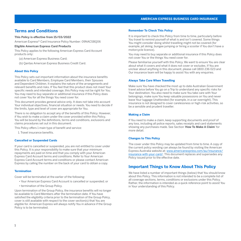## <span id="page-2-0"></span>**Terms and Conditions**

#### **This Policy is effective from 15/03/2022**

American Express® Card Insurance Policy Number: 09NACSBQ06

#### **Eligible American Express Card Products**

This Policy applies to the following American Express Card Account products only:

(a) American Express Business Card;

(b) Qantas American Express Business Credit Card.

#### **About this Policy**

This Policy sets out important information about the insurance benefits available to Card Members, Employee Card Members, their Spouses and Dependent Children. It explains the nature of the arrangements and relevant benefits and risks. If You feel that this product does not meet Your specific needs and intended coverage, this Policy may not be right for You. You may need to buy separate or additional insurance if this Policy does not cover You for all the things You need cover for.

This document provides general advice only. It does not take into account Your individual objectives, financial situation or needs. You need to decide if the limits, type and level of cover are appropriate for You.

There is no obligation to accept any of the benefits of this Policy. However, if You wish to make a claim under the cover provided within this Policy, You will be bound by the definitions, terms and conditions, exclusions and claims procedures set out in this document.

This Policy offers 1 main type of benefit and service:

1. Travel insurance benefits.

#### **Cancelled or Suspended Cards**

If your card is cancelled or suspended, you are not entitled to cover under this Policy. It is your responsibility to make sure that your minimum repayments are paid on time and that you comply with your American Express Card Account terms and conditions. Refer to Your American Express Card Account terms and conditions or please contact American Express by calling the number on the back of your card to obtain a copy.

#### **Termination**

Cover will be terminated at the earlier of the following:

- Your American Express Card Account is cancelled or suspended; or
- termination of the Group Policy.

Upon termination of the Group Policy, the insurance benefits will no longer be available to Card Members after the termination date. If You have satisfied the eligibility criteria prior to the termination of the Group Policy, cover is still available with respect to the cover section(s) that You are eligible for. American Express will always notify You in advance if the Group Policy is to be terminated.

#### **Remember To Check This Policy**

It is important to check this Policy from time to time, particularly before You travel to remind yourself of what is and isn't covered. Some things You might consider doing whilst travelling might not be covered (for example, jet skiing, bungee jumping or hiring a scooter if You don't have a motorcycle licence).

You may need to buy separate or additional insurance if this Policy does not cover You or the things You need cover for.

Please familiarise yourself with this Policy. We want to ensure You are clear about what it covers and what it does not cover or excludes. If You are unclear about anything in this document, please call 1800 236 023 and Our insurance team will be happy to assist You with any enquiries.

#### **Always Take Care When Travelling**

Make sure You have checked the most up to date Australian Government travel advice before You go on a Trip to understand any specific risks for Your destination. You also need to make sure You take care with Your belongings, make sure You keep valuable possessions on You and never leave Your luggage Unattended (for example, in a car overnight). This insurance is not designed to cover carelessness or high-risk activities, so be a sensible and prudent traveller.

#### **Making a Claim**

If You need to make a claim, keep supporting documents and proof of any loss, including all police reports, sales receipts and card statements showing any purchases made. See Section '**How To Make A Claim**' for more detail.

#### **Changes to This Policy**

The cover under this Policy may be updated from time to time. A copy of the current policy wording can always be found by visiting the American Express Australia website at: [www.americanexpress.com/au/insurance/](http://www.americanexpress.com/au/insurance/insurance-with-your-card/) [insurance-with-your-card/.](http://www.americanexpress.com/au/insurance/insurance-with-your-card/) This document replaces and supersedes any Policy issued prior to the effective date.

## **Important Things to Know About This Policy**

We have listed a number of important things (below) that You should know about this Policy. This information is not intended to be a complete list of all coverage sections, terms, conditions or exclusions under this Policy. Rather, the information is intended as a quick reference point to assist You in Your understanding of this Policy.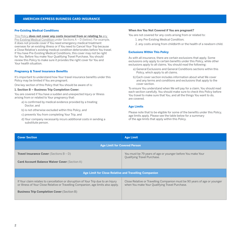#### <span id="page-3-0"></span>**Pre-Existing Medical Conditions**

This Policy **does not cover any costs incurred from or relating to** any Pre-Existing Medical Condition under Sections A – D (below). For example, it does not provide cover if You need emergency medical treatment overseas for an existing illness or if You need to Cancel Your Trip because a Close Relative's existing medical condition deteriorates before You travel. If You have Pre-Existing Medical Conditions, this cover may not be right for You. Before You make Your Qualifying Travel Purchase, You should review this Policy to make sure it provides the right cover for You and Your health situation.

#### **Pregnancy & Travel Insurance Benefits**

It's important to understand how Your travel insurance benefits under this Policy may be limited if You are pregnant.

One key section of this Policy that You should be aware of is:

#### **1. Section B – Business Trip Completion Cover:**

You are covered if You have a sudden and unexpected Injury or Illness arising from or related to Your pregnancy that:

- a) is confirmed by medical evidence provided by a treating Doctor, and
- b) is not otherwise excluded within this Policy, and
- c) prevents You from completing Your Trip, and
- d) Your company necessarily incurs additional costs in sending a substitute person.

#### **When Are You Not Covered if You are pregnant?**

You are not covered for any costs arising from or related to:

- 1. any Pre-Existing Medical Condition;
- 2. any costs arising from childbirth or the health of a newborn child.

#### **Exclusions Within This Policy**

As with all insurance, there are certain exclusions that apply. Some exclusions only apply to certain benefits under this Policy, while other exclusions apply to all claims. You should read the following:

- a) General Exclusions and General Conditions sections within this Policy, which apply to all claims.
- b) Each cover section includes information about what We cover and any terms and conditions and exclusions that apply to the cover section.

To ensure You understand when We will pay for a claim, You should read each section carefully. You should make sure to check this Policy before You travel to make sure that You, and all the things You want to do, are covered.

#### **Age Limits**

Please note that to be eligible for some of the benefits under this Policy, age limits apply. Please see the table below for a summary of the age limits that apply within this Policy.

| <b>Cover Section</b>                                                                                                                                                   | <b>Age Limit</b>                                                                                                            |  |  |
|------------------------------------------------------------------------------------------------------------------------------------------------------------------------|-----------------------------------------------------------------------------------------------------------------------------|--|--|
| <b>Age Limit for Covered Person</b>                                                                                                                                    |                                                                                                                             |  |  |
| <b>Travel Insurance Cover</b> (Sections $B - D$ )                                                                                                                      | You must be 79 years of age or younger before You make Your<br><b>Qualifying Travel Purchase.</b>                           |  |  |
| <b>Card Account Balance Waiver Cover (Section A)</b>                                                                                                                   |                                                                                                                             |  |  |
|                                                                                                                                                                        |                                                                                                                             |  |  |
| Age Limit for Close Relative and Travelling Companion                                                                                                                  |                                                                                                                             |  |  |
| If Your claim relates to cancellation or disruption of Your Trip due to an Injury<br>or Illness of Your Close Relative or Travelling Companion, age limits also apply. | Close Relative or Travelling Companion must be 90 years of age or younger<br>when You make Your Qualifying Travel Purchase. |  |  |
| <b>Business Trip Completion Cover (Section B)</b>                                                                                                                      |                                                                                                                             |  |  |
|                                                                                                                                                                        |                                                                                                                             |  |  |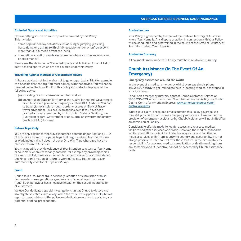#### <span id="page-4-0"></span>**Excluded Sports and Activities**

Not everything You do on Your Trip will be covered by this Policy. This includes

- some popular holiday activities such as bungee jumping, jet skiing, horse riding or trekking (with climbing equipment or when You ascend more than 3,000 metres from sea level).
- competitive sporting events (for example, where You may receive a fee or prize money).

Please see the definition of 'Excluded Sports and Activities' for a full list of activities and sports which are not covered under this Policy.

#### **Travelling Against Medical or Government Advice**

If You are advised not to travel or not to go on a particular Trip (for example, to a specific destination), You must comply with that advice. You will not be covered under Sections B – D of this Policy if You start a Trip against the following advice:

- (a) a treating Doctor advises You not to travel; or
- (b) an Australian State or Territory or the Australian Federal Government or an Australian government agency (such as DFAT) advises You not to travel (for example, through border closures or 'Do Not Travel' travel advisories). This exclusion applies even if You have been granted a travel exemption by an Australian State or Territory, the Australian Federal Government or an Australian government agency (such as DFAT) to travel.

#### **Return Trips Only**

You are only eligible for the travel insurance benefits under Sections B – D of this Policy for return Trips i.e. trips that begin and end from Your Home or Work in Australia. It does not cover One-Way Trips where You have no plans to return to Australia.

You may need to provide evidence of Your intention to return to Your Home or Your Work where reasonably possible, for example by providing copies of a return ticket, itinerary or schedule, return transfer or accommodation bookings, confirmation of return to Work dates etc. Remember, cover automatically ends for all Trips at 62 days.

#### **Fraud**

Chubb takes insurance fraud seriously. Creation or submission of false documents, or exaggerating a genuine claim is considered insurance fraud. Such behaviour has a negative impact on the cost of insurance for all customers.

We use Our dedicated special investigations unit at Chubb to detect and investigate selected claims daily. When the evidence supports it, Chubb will report suspect claims to the police and dedicate resources to assisting any potential criminal prosecutions.

#### **Australian Law**

Your Policy is governed by the laws of the State or Territory of Australia where Your Home is. Any dispute or action in connection with Your Policy will be conducted and determined in the courts of the State or Territory of Australia in which Your Home is.

#### **Australian Currency**

All payments made under this Policy must be in Australian currency.

## **Chubb Assistance (In The Event Of An Emergency)**

#### **Emergency assistance around the world**

In the event of a medical emergency whilst overseas simply phone **+61 2 8907 5666** to get immediate help in locating medical assistance in Your local area.

For all non-emergency matters, contact Chubb Customer Service on 1800 236 023, or You can submit Your claim online by visiting the Chubb Claims Centre for American Express: [www.americanexpress.com/](https://studio.chubb.com/claims/amex/au/default/en-US/Landing) [australia/claims.](https://studio.chubb.com/claims/amex/au/default/en-US/Landing)

Where Your claim is excluded or falls outside this Policy coverage, We may still provide You with some emergency assistance. If We do this, the provision of emergency assistance by Chubb Assistance will not in itself be an admission of liability.

Considerable effort is made to locate, assess and reassess medical facilities and other services worldwide. However, the medical standards, sanitary conditions, reliability of telephone systems and facilities for medical services differ from country to country and accordingly, it is not always possible to have control over these factors. In the circumstances, responsibility for any loss, medical complication or death resulting from any factor beyond Our control, cannot be accepted by Chubb Assistance or Us.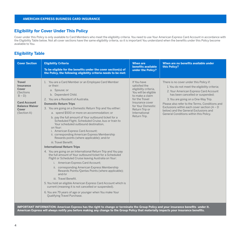## <span id="page-5-0"></span>**Eligibility for Cover Under This Policy**

Cover under this Policy is only available to Card Members who meet the eligibility criteria. You need to use Your American Express Card Account in accordance with the Eligibility Table below. Not all cover sections have the same eligibility criteria, so it is important You understand when the benefits under this Policy become available to You.

## **Eligibility Table**

| <b>Cover Section</b>                                                                                                                | <b>Eligibility Criteria</b><br>To be eligible for the benefits under the cover section(s) of<br>the Policy, the following eligibility criteria needs to be met:                                                                                                                                                                                                                                                                                                                                                                                                                                                                                                                                                                                                                                                                                                                                                                                                                                                                                                                                                                                                                                                                                            | <b>When are</b><br>benefits available<br>under the Policy?                                                                                                                                                    | When are no benefits available under<br>this Policy?                                                                                                                                                                                                                                                                                                                                               |
|-------------------------------------------------------------------------------------------------------------------------------------|------------------------------------------------------------------------------------------------------------------------------------------------------------------------------------------------------------------------------------------------------------------------------------------------------------------------------------------------------------------------------------------------------------------------------------------------------------------------------------------------------------------------------------------------------------------------------------------------------------------------------------------------------------------------------------------------------------------------------------------------------------------------------------------------------------------------------------------------------------------------------------------------------------------------------------------------------------------------------------------------------------------------------------------------------------------------------------------------------------------------------------------------------------------------------------------------------------------------------------------------------------|---------------------------------------------------------------------------------------------------------------------------------------------------------------------------------------------------------------|----------------------------------------------------------------------------------------------------------------------------------------------------------------------------------------------------------------------------------------------------------------------------------------------------------------------------------------------------------------------------------------------------|
| <b>Travel</b><br>Insurance<br>Cover<br>(Sections<br>$B - D$<br><b>Card Account</b><br><b>Balance Waiver</b><br>Cover<br>(Section A) | 1. You are a Card Member or an Employee Card Member<br>or their:<br>a. Spouse; or<br>b. Dependent Child.<br>2. You are a Resident of Australia.<br><b>Domestic Return Trips</b><br>3. You are going on a Domestic Return Trip and You either:<br>a. spend \$500 or more on accommodation; or<br>b. pay the full amount of Your outbound ticket for a<br>Scheduled Flight, Scheduled Cruise, bus or train to<br>Your scheduled outbound destination.<br>on Your:<br>i. American Express Card Account;<br>ii. corresponding American Express Membership<br>Rewards points (where applicable); and/or<br>iii. Travel Benefit.<br><b>International Return Trips</b><br>4. You are going on an International Return Trip and You pay<br>the full amount of Your outbound ticket for a Scheduled<br>Flight or Scheduled Cruise leaving Australia on Your:<br>i. American Express Card Account:<br>ii. corresponding American Express Membership<br>Rewards Points/Qantas Points (where applicable);<br>and/or<br>iii. Travel Benefit.<br>5. You hold an eligible American Express Card Account which is<br>current (meaning it is not cancelled or suspended).<br>6. You are 79 years of age or younger when You make Your<br><b>Qualifying Travel Purchase.</b> | If You have<br>satisfied the<br>eligibility criteria,<br>You will be eligible<br>to make a claim<br>for the Travel<br>Insurance cover<br>for Your Domestic<br>Return Trip or<br>International<br>Return Trip. | There is no cover under this Policy if:<br>1. You do not meet the eligibility criteria;<br>2. Your American Express Card Account<br>has been cancelled or suspended;<br>3. You are going on a One-Way Trip.<br>Please also refer to the Terms, Conditions and<br>Exclusions within each cover section $(A - D)$<br>below) and the General Exclusions and<br>General Conditions within this Policy. |
|                                                                                                                                     |                                                                                                                                                                                                                                                                                                                                                                                                                                                                                                                                                                                                                                                                                                                                                                                                                                                                                                                                                                                                                                                                                                                                                                                                                                                            |                                                                                                                                                                                                               |                                                                                                                                                                                                                                                                                                                                                                                                    |

**IMPORTANT INFORMATION: American Express has the right to change or terminate the Group Policy and your insurance benefits under it. American Express will always notify you before making any change to the Group Policy that materially impacts your insurance benefits.**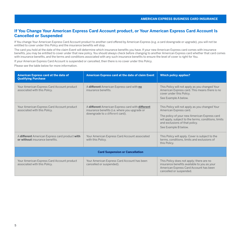## <span id="page-6-0"></span>**If You Change Your American Express Card Account product, or Your American Express Card Account Is Cancelled or Suspended**

If You change Your American Express Card Account product to another card offered by American Express (e.g. a card downgrade or upgrade), you will not be entitled to cover under this Policy and the insurance benefits will stop.

The card you hold at the date of the claim Event will determine which insurance benefits you have. If your new American Express card comes with insurance benefits, you may be entitled to cover under that new policy. You should always check before changing to another American Express card whether that card comes with insurance benefits, and the terms and conditions associated with any such insurance benefits to ensure the level of cover is right for You.

If your American Express Card Account is suspended or cancelled, then there is no cover under this Policy.

Please see the table below for more information.

| American Express card at the date of<br><b>Oualifying Purchase</b>              | American Express card at the date of claim Event                                                                                     | <b>Which policy applies?</b>                                                                                                                                                                                                               |
|---------------------------------------------------------------------------------|--------------------------------------------------------------------------------------------------------------------------------------|--------------------------------------------------------------------------------------------------------------------------------------------------------------------------------------------------------------------------------------------|
| Your American Express Card Account product<br>associated with this Policy.      | A different American Express card with no<br>insurance benefits.                                                                     | This Policy will not apply as you changed Your<br>American Express card. This means there is no<br>cover under this Policy.<br>See Example A below.                                                                                        |
| Your American Express Card Account product<br>associated with this Policy.      | A different American Express card with different<br>insurance benefits (i.e. where you upgrade or<br>downgrade to a different card). | This Policy will not apply as you changed Your<br>American Express card.<br>The policy of your new American Express card<br>will apply, subject to the terms, conditions, limits<br>and exclusions of that policy.<br>See Example B below. |
| A different American Express card product with<br>or without insurance benefits | Your American Express Card Account associated<br>with this Policy.                                                                   | This Policy will apply. Cover is subject to the<br>terms, conditions, limits and exclusions of<br>this Policy.                                                                                                                             |
|                                                                                 | <b>Card Suspension or Cancellation</b>                                                                                               |                                                                                                                                                                                                                                            |
| Your American Express Card Account product<br>associated with this Policy.      | Your American Express Card Account has been<br>cancelled or suspended).                                                              | This Policy does not apply; there are no<br>insurance benefits available to you as your<br>American Express Card Account has been<br>cancelled or suspended.                                                                               |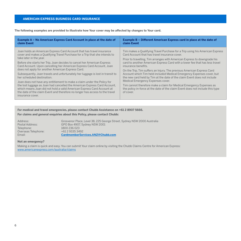**The following examples are provided to illustrate how Your cover may be affected by changes to Your card.**

| Example A - No American Express Card Account in place at the date of                                                                                                                                                                                                                                                                                                                                                                                                                                                                                                                                                                                                                                                                                                                                                                           | Example B – Different American Express card in place at the date of                                                                                                                                                                                                                                                                                                                                                                                                                                                                                                                                                                                                                                                                                     |
|------------------------------------------------------------------------------------------------------------------------------------------------------------------------------------------------------------------------------------------------------------------------------------------------------------------------------------------------------------------------------------------------------------------------------------------------------------------------------------------------------------------------------------------------------------------------------------------------------------------------------------------------------------------------------------------------------------------------------------------------------------------------------------------------------------------------------------------------|---------------------------------------------------------------------------------------------------------------------------------------------------------------------------------------------------------------------------------------------------------------------------------------------------------------------------------------------------------------------------------------------------------------------------------------------------------------------------------------------------------------------------------------------------------------------------------------------------------------------------------------------------------------------------------------------------------------------------------------------------------|
| claim Event                                                                                                                                                                                                                                                                                                                                                                                                                                                                                                                                                                                                                                                                                                                                                                                                                                    | claim Event                                                                                                                                                                                                                                                                                                                                                                                                                                                                                                                                                                                                                                                                                                                                             |
| Joan holds an American Express Card Account that has travel insurance<br>cover and makes a Qualifying Travel Purchase for a Trip that she intends to<br>take later in the year.<br>Before she starts her Trip, Joan decides to cancel her American Express<br>Card Account. Upon cancelling her American Express Card Account, Joan<br>does not apply for another American Express Card.<br>Subsequently, Joan travels and unfortunately her luggage is lost in transit to<br>her scheduled destination.<br>Joan does not have any entitlement to make a claim under the Policy for<br>the lost luggage as Joan had cancelled the American Express Card Account.<br>which means Joan did not hold a valid American Express Card Account at<br>the date of the claim Event and therefore no longer has access to the travel<br>insurance cover. | Tim makes a Qualifying Travel Purchase for a Trip using his American Express<br>Card Account that has travel insurance cover.<br>Prior to travelling, Tim arranges with American Express to downgrade his<br>card to another American Express Card with a lower fee that has less travel<br>insurance benefits<br>On the Trip, Tim suffers an Injury. The previous American Express Card<br>Account which Tim held included Medical Emergency Expenses cover, but<br>the new card held by Tim at the date of the claim Event does not include<br>Medical Emergency Expenses cover.<br>Tim cannot therefore make a claim for Medical Emergency Expenses as<br>the policy in-force at the date of the claim Event does not include this type<br>of cover. |

**For medical and travel emergencies, please contact Chubb Assistance on +61 2 8907 5666.** 

#### **For claims and general enquiries about this Policy, please contact Chubb:**

| Address:            |
|---------------------|
| Postal Address:     |
| Telephone:          |
| Overseas Telephone: |
| Email:              |

Grosvenor Place, Level 38, 225 George Street, Sydney NSW 2000 Australia GPO Box 4907, Sydney NSW 2001 1800 236 023 Overseas Telephone: +61 2 9335 3492 Email: **[CardmemberServices.ANZ@Chubb.com](mailto:CardmemberServices.ANZ%40Chubb.com?subject=)**

#### **Not an emergency?**

Making a claim is quick and easy. You can submit Your claim online by visiting the Chubb Claims Centre for American Express: [www.americanexpress.com/australia/claims](http://www.americanexpress.com/australia/claims)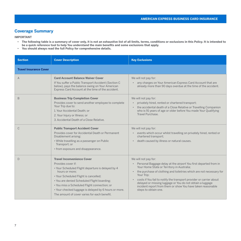# <span id="page-8-0"></span>**Coverage Summary**

#### **IMPORTANT**

- **• The following table is a summary of cover only, it is not an exhaustive list of all limits, terms, conditions or exclusions in this Policy. It is intended to be a quick reference tool to help You understand the main benefits and some exclusions that apply.**
- **• You should always read the full Policy for comprehensive details.**

| <b>Section</b>                | <b>Cover Description</b>                                                                                                                                                                                                                                                                                                                                                        | <b>Key Exclusions</b>                                                                                                                                                                                                                                                                                                                                                                                                                                  |
|-------------------------------|---------------------------------------------------------------------------------------------------------------------------------------------------------------------------------------------------------------------------------------------------------------------------------------------------------------------------------------------------------------------------------|--------------------------------------------------------------------------------------------------------------------------------------------------------------------------------------------------------------------------------------------------------------------------------------------------------------------------------------------------------------------------------------------------------------------------------------------------------|
| <b>Travel Insurance Cover</b> |                                                                                                                                                                                                                                                                                                                                                                                 |                                                                                                                                                                                                                                                                                                                                                                                                                                                        |
| $\overline{A}$                | <b>Card Account Balance Waiver Cover</b><br>If You suffer a Public Transport Accident (Section C<br>below), pays the balance owing on Your American<br>Express Card Account at the time of the accident.                                                                                                                                                                        | We will not pay for:<br>any charges on Your American Express Card Account that are<br>already more than 90 days overdue at the time of the accident.                                                                                                                                                                                                                                                                                                   |
| B                             | <b>Business Trip Completion Cover</b><br>Provides cover to send another employee to complete<br>Your Trip due to:<br>1. Your Accidental Death: or<br>2. Your Injury or Illness; or<br>3. Accidental Death of a Close Relative.                                                                                                                                                  | We will not pay for:<br>privately hired, rented or chartered transport;<br>the accidental death of a Close Relative or Travelling Companion<br>who is 91 years of age or older before You made Your Qualifying<br>Travel Purchase.                                                                                                                                                                                                                     |
| $\mathcal{C}$                 | <b>Public Transport Accident Cover</b><br>Provides cover for Accidental Death or Permanent<br>Disablement arising:<br>. While travelling as a passenger on Public<br>Transport; or<br>• from exposure and disappearance.                                                                                                                                                        | We will not pay for:<br>events which occur whilst travelling on privately hired, rented or<br>chartered transport;<br>death caused by illness or natural causes.                                                                                                                                                                                                                                                                                       |
| D                             | <b>Travel Inconvenience Cover</b><br>Provides cover if:<br>• Your Scheduled Flight departure is delayed by 4<br>hours or more:<br>• Your Scheduled Flight is cancelled:<br>• You are denied Scheduled Flight boarding;<br>• You miss a Scheduled Flight connection; or<br>. Your checked luggage is delayed by 6 hours or more.<br>The amount of cover varies for each benefit. | We will not pay for:<br>Personal Baggage delay at the airport You first departed from in<br>Your Home State or Territory in Australia;<br>the purchase of clothing and toiletries which are not necessary for<br>Your Trip:<br>costs if You fail to notify the transport provider or carrier about<br>delayed or missing luggage or You do not obtain a luggage<br>incident report from them or show You have taken reasonable<br>steps to obtain one. |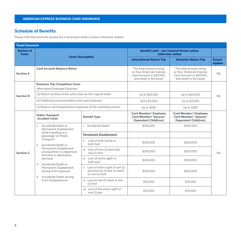# <span id="page-9-0"></span>**Schedule of Benefits**

Please note that amounts quoted are in Australian dollars (unless otherwise stated).

| <b>Travel Insurance</b>           |                                                                                                                     |                                                                                       |                                                                                                            |                                                                                                            |                                 |  |
|-----------------------------------|---------------------------------------------------------------------------------------------------------------------|---------------------------------------------------------------------------------------|------------------------------------------------------------------------------------------------------------|------------------------------------------------------------------------------------------------------------|---------------------------------|--|
| <b>Section of</b><br><b>Cover</b> | <b>Cover Description</b>                                                                                            |                                                                                       | <b>Benefit Limit - per Covered Person unless</b><br>otherwise stated                                       |                                                                                                            |                                 |  |
|                                   |                                                                                                                     |                                                                                       | <b>International Return Trip</b>                                                                           | <b>Domestic Return Trip</b>                                                                                | <b>Excess</b><br><b>Applies</b> |  |
| <b>Section A</b>                  | <b>Card Account Balance Waiver</b>                                                                                  |                                                                                       | The total amount owing<br>on Your American Express<br>Card Account or \$10,000.<br>whichever is the lesser | The total amount owing<br>on Your American Express<br>Card Account or \$10,000.<br>whichever is the lesser | <b>NIL</b>                      |  |
|                                   | <b>Business Trip Completion Cover</b><br>Alternative Employee Expenses                                              |                                                                                       |                                                                                                            |                                                                                                            |                                 |  |
| <b>Section B</b>                  | (a) Return airfares at the same class as the original ticket                                                        |                                                                                       | Up to \$10,000                                                                                             | Up to \$10,000                                                                                             | <b>NIL</b>                      |  |
|                                   | (b) Additional accommodation and meal expenses                                                                      |                                                                                       | Up to \$3,000                                                                                              | Up to \$3,000                                                                                              |                                 |  |
|                                   | (c) Road or rail transportation expenses of the substitute person                                                   |                                                                                       | Up to \$150                                                                                                | Up to \$150                                                                                                |                                 |  |
|                                   | <b>Public Transport</b><br><b>Benefit Type</b><br><b>Accident Cover</b>                                             |                                                                                       | <b>Card Member/ Employee</b><br>Card Member/ Spouse/<br><b>Dependent Child(ren)</b>                        | <b>Card Member/ Employee</b><br>Card Member/ Spouse/<br><b>Dependent Child(ren)</b>                        |                                 |  |
| <b>Section C</b>                  | 1. Accidental Death or<br>Permanent Disablement                                                                     | i. Accidental Death                                                                   | \$150,000                                                                                                  | \$150,000                                                                                                  |                                 |  |
|                                   | while travelling as a<br>passenger on Public                                                                        | <b>Permanent Disablement:</b>                                                         |                                                                                                            |                                                                                                            |                                 |  |
|                                   | Transport<br>2. Accidental Death or                                                                                 | ii. Loss of both hands or<br>both feet                                                | \$150,000                                                                                                  | \$150,000                                                                                                  |                                 |  |
|                                   | Permanent Disablement<br>arising while in a departure<br>terminal or destination                                    | iii. Loss of one (1) hand and<br>one (1) foot                                         | \$150,000                                                                                                  | \$150,000                                                                                                  | <b>NIL</b>                      |  |
|                                   | terminal<br>3. Accidental Death or<br>Permanent Disablement<br>arising from exposure<br>4. Accidental Death arising | iv. Loss of entire sight of<br>both eyes                                              | \$150,000                                                                                                  | \$150,000                                                                                                  |                                 |  |
|                                   |                                                                                                                     | v. Loss of entire sight of one (1)<br>eye and loss of one (1) hand<br>or one (1) foot | \$150,000                                                                                                  | \$150,000                                                                                                  |                                 |  |
|                                   | from disappearance                                                                                                  | vi. Loss of one (1) hand or one<br>$(1)$ foot                                         | \$75,000                                                                                                   | \$75,000                                                                                                   |                                 |  |
|                                   |                                                                                                                     | vii. Loss of the entire sight of<br>one (1) eye                                       | \$75,000                                                                                                   | \$75,000                                                                                                   |                                 |  |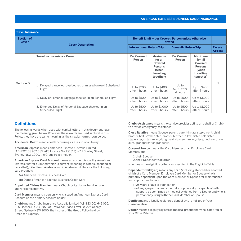<span id="page-10-0"></span>

| <b>Travel Insurance</b>           |                                                                         |                              |                                                                                            |                                 |                                                                                            |            |
|-----------------------------------|-------------------------------------------------------------------------|------------------------------|--------------------------------------------------------------------------------------------|---------------------------------|--------------------------------------------------------------------------------------------|------------|
| <b>Section of</b><br><b>Cover</b> | <b>Cover Description</b>                                                |                              | Benefit Limit - per Covered Person unless otherwise<br>stated                              |                                 |                                                                                            |            |
|                                   |                                                                         |                              | <b>International Return Trip</b>                                                           |                                 | <b>Domestic Return Trip</b>                                                                |            |
|                                   | <b>Travel Inconvenience Cover</b>                                       | <b>Per Covered</b><br>Person | <b>Maximum</b><br>for all<br>Covered<br><b>Persons</b><br>(when<br>travelling<br>together) | <b>Per Covered</b><br>Person    | <b>Maximum</b><br>for all<br>Covered<br><b>Persons</b><br>(when<br>travelling<br>together) |            |
| <b>Section D</b>                  | 1. Delayed, cancelled, overbooked or missed onward Scheduled<br>Flight  | Up to \$200<br>after 4 hours | Up to \$400<br>after 4 hours                                                               | Up to<br>\$200 after<br>4 hours | Up to \$400<br>after 4 hours                                                               | <b>NIL</b> |
|                                   | 2. Delay of Personal Baggage checked-in on Scheduled Flight             | Up to \$500<br>after 6 hours | Up to \$1,000<br>after 6 hours                                                             | Up to \$500<br>after 6 hours    | Up to \$1,000<br>after 6 hours                                                             |            |
|                                   | 3. Extended Delay of Personal Baggage checked-in on<br>Scheduled Flight | Up to \$500<br>after 6 hours | Up to \$1,000<br>after 6 hours                                                             | Up to \$500<br>after 6 hours    | Up to \$1,000<br>after 6 hours                                                             |            |

## **Definitions**

The following words when used with capital letters in this document have the meaning given below. Wherever these words are used in plural in this Policy, they have the same meaning as the singular form shown below.

**Accidental Death** means death occurring as a result of an Injury.

**American Express** means American Express Australia Limited (ABN 92 108 952 085, AFS Licence No. 291313) of 12 Shelley Street, Sydney NSW 2000, the Group Policy holder.

**American Express Card Account** means an account issued by American Express Australia Limited which is current (meaning it is not suspended or cancelled), billed from Australia and in Australian dollars for the following card products:

- (a) American Express Business Card;
- (b) Qantas American Express Business Credit Card.

**Appointed Claims Handler** means Chubb or its claims handling agent and/or representative.

**Card Member** means a person who is issued an American Express Card Account as the primary account holder.

**Chubb** means Chubb Insurance Australia Limited (ABN 23 001 642 020, AFS Licence No. 239687) of Grosvenor Place, Level 38, 225 George Street, Sydney NSW 2000, the insurer of the Group Policy held by American Express.

**Chubb Assistance** means the service provider acting on behalf of Chubb to provide emergency assistance.

**Close Relative** means Spouse, parent, parent-in-law, step-parent, child brother, half-brother, step-brother, brother-in-law, sister, half-sister, step-sister, sister-in-law, daughter-in-law, son-in-law, niece, nephew, uncle, aunt, grandparent or grandchild.

**Covered Person** means the Card Member or an Employee Card Member, and:

- 1. their Spouse;
- 2. their Dependent Child(ren)

who meets the eligibility criteria as specified in the Eligibility Table.

**Dependent Child(ren)** means any child (including stepchild or adopted child) of a Card Member, Employee Card Member or Spouse who is primarily dependent upon the Card Member or Spouse for maintenance and support, and who is:

- a) 25 years of age or younger; or
- b) of any age permanently mentally or physically incapable of selfsupport, as confirmed by medical evidence from a Doctor and who is permanently living with the Card Member or Spouse.

**Dentist** means a legally registered dentist who is not You or Your Close Relative.

**Doctor** means a legally registered medical practitioner who is not You or Your Close Relative.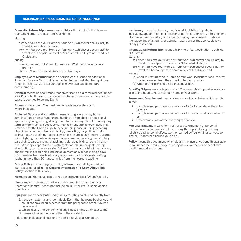**Domestic Return Trip** means a return trip within Australia that is more than 150 kilometre radius from Your Home:

starting:

- a) when You leave Your Home or Your Work (whichever occurs last) to travel to Your destination, or
- b) when You leave Your Home or Your Work (whichever occurs last) to travel to the departure point of Your Scheduled Flight or Scheduled Cruise; and

ending:

- c) when You return to Your Home or Your Work (whichever occurs first); or
- d) when Your trip exceeds 62 consecutive days.

**Employee Card Member** means a person who is issued an additional American Express Card that is connected to the Card Member's primary American Express Card Account (also known as a supplementary card member).

**Event(s)** means an occurrence that gives rise to a claim for a benefit under Your Policy. Multiple occurrences attributable to one source or originating cause is deemed to be one Event.

**Excess** is the amount You must pay for each successful claim where indicated.

**Excluded Sports and Activities** means boxing; cave diving; horse jumping; horse riding; hunting and hunting on horseback; professional sports; canyoning; caving; diving; mountain-climbing; steeple chasing; any form of motor racing; speed, performance or endurance tests; abseiling; American football; bob sleigh; bungee jumping; base jumping, canoeing; clay pigeon shooting; deep sea fishing; go-karting; hang gliding; heliskiing; hot air ballooning; ice hockey; jet biking and jet skiing; martial arts; micro-lighting; mountain biking off tarmac; mountaineering; parachuting; paragliding; parascending; paraskiing; polo; quad biking; rock climbing; SCUBA diving deeper than 30 metres; skidoo; ski-jumping; ski-racing; ski-stunting; tour operator safari (where You or any tourist will be carrying guns); trekking requiring climbing equipment and/or ascending above 3,000 metres from sea level; war games/paint ball; white water rafting; yachting more than 20 nautical miles from the nearest coastline.

**Group Policy** means the group policy of insurance held by American Express as detailed in the **'General Information To Know About This Policy'** section of this Policy.

**Home** means Your usual place of residence in Australia (where You live).

**Illness** means a sickness or disease which requires treatment by a Doctor or a Dentist. It does not include an Injury or Pre-Existing Medical Conditions.

**Injury** means an accidental bodily injury resulting solely and directly from:

- 1. a sudden, external and identifiable Event that happens by chance and could not have been expected from the perspective of the Covered Person; and
- 2. which occurs independently of any Illness or any other cause, and 3. causes a loss within 12 months of the accident.

It does not include an Illness or a Pre-Existing Medical Condition.

**Insolvency** means bankruptcy, provisional liquidation, liquidation, insolvency, appointment of a receiver or administrator, entry into a scheme of arrangement, statutory protection stopping the payment of debts or the happening of anything of a similar nature under the applicable laws of any jurisdiction.

**International Return Trip** means a trip where Your destination is outside of Australia:

starting:

- (a) when You leave Your Home or Your Work (whichever occurs last) to travel to the airport to fly on Your Scheduled Flight; or
- (b) when You leave Your Home or Your Work (whichever occurs last) to travel to a harbour port to board a Scheduled Cruise; and

ending:

- (c) when You return to Your Home or Your Work (whichever occurs first) having travelled from the airport or harbour port; or
- (d) when Your trip exceeds 62 consecutive days.

**One-Way Trip** means any trip for which You are unable to provide evidence of Your intention to return to Your Home or Your Work.

**Permanent Disablement** means a loss caused by an Injury which results in the:

- i. complete and permanent severance of a foot at or above the ankle joint; or
- ii. complete and permanent severance of a hand at or above the wrist; or
- iii. irrecoverable loss of the entire sight of an eye.

**Personal Baggage** means items of necessity, ornament or personal convenience for Your individual use during the Trip, including clothing, toiletries and personal effects worn or carried by You within a suitcase (or similar). It does not include Valuables.

**Policy** means this document which details the insurance benefits available to You under the Group Policy including all relevant terms, benefit limits, conditions and exclusions.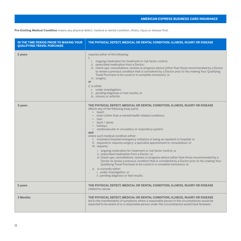**Pre-Existing Medical Condition** means any physical defect, medical or dental condition, illness, injury or disease that:

| IN THE TIME PERIOD PRIOR TO MAKING YOUR<br><b>QUALIFYING TRAVEL PURCHASE</b> | THE PHYSICAL DEFECT, MEDICAL OR DENTAL CONDITION, ILLNESS, INJURY OR DISEASE                                                                                                                                                                                                                                                                                                                                                                                                                                                                                                                                                                                                                                                                                                                                                                                                                                                                                                                                                                           |
|------------------------------------------------------------------------------|--------------------------------------------------------------------------------------------------------------------------------------------------------------------------------------------------------------------------------------------------------------------------------------------------------------------------------------------------------------------------------------------------------------------------------------------------------------------------------------------------------------------------------------------------------------------------------------------------------------------------------------------------------------------------------------------------------------------------------------------------------------------------------------------------------------------------------------------------------------------------------------------------------------------------------------------------------------------------------------------------------------------------------------------------------|
| 2 years                                                                      | requires either of the following:<br>1.<br>i. ongoing medication for treatment or risk factor control;<br>ii. prescribed medication from a Doctor;<br>iii. check-ups, consultations, reviews or progress advice (other than those recommended by a Doctor<br>to review a previous condition that is considered by a Doctor prior to You making Your Qualifying<br>Travel Purchase to be cured or in complete remission); or<br>iv. surgery;<br>or<br>2. is either<br>i. under investigation;<br>ii. pending diagnosis or test results; or<br>iii. chronic or arthritic.                                                                                                                                                                                                                                                                                                                                                                                                                                                                                |
| 3 years                                                                      | THE PHYSICAL DEFECT, MEDICAL OR DENTAL CONDITION, ILLNESS, INJURY OR DISEASE<br>affects any of the following body parts:<br>• heart:<br>• brain (other than a mental health related condition);<br>· liver:<br>• back / spine;<br>kidneys:<br>$\bullet$<br>• cardiovascular or circulatory or respiratory system;<br>and<br>where such medical condition either:<br>I. involved a hospital emergency visitation or being an inpatient in hospital; or<br>II. required or requires surgery, a specialist appointment or consultation; or<br>III. requires:<br>i. ongoing medication for treatment or risk factor control; or<br>ii. prescribed medication from a Doctor; or<br>iii. check-ups, consultations, reviews or progress advice (other than those recommended by a<br>Doctor to review a previous condition that is considered by a Doctor prior to You making Your<br>Qualifying Travel Purchase to be cured or in complete remission); or<br>a. is currently either:<br>i. under investigation; or<br>ii. pending diagnosis or test results. |
| 5 years                                                                      | THE PHYSICAL DEFECT, MEDICAL OR DENTAL CONDITION, ILLNESS, INJURY OR DISEASE<br>related to cancer.                                                                                                                                                                                                                                                                                                                                                                                                                                                                                                                                                                                                                                                                                                                                                                                                                                                                                                                                                     |
| 3 Months                                                                     | THE PHYSICAL DEFECT, MEDICAL OR DENTAL CONDITION, ILLNESS, INJURY OR DISEASE<br>led to the manifestation of symptoms where a reasonable person in the circumstances would be<br>expected to be aware of or a reasonable person under the circumstances would have foreseen.                                                                                                                                                                                                                                                                                                                                                                                                                                                                                                                                                                                                                                                                                                                                                                            |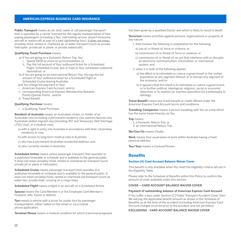<span id="page-13-0"></span>**Public Transport** means an air, land, water or rail passenger transport that is operated by a carrier licensed for the regular transportation of farepaying passengers (including a Taxi, ride-hailing service, airport limousine, aircraft or watercraft as part of a paid sightseeing tour). It does not mean privately hired, rented or chartered air or water transport (such as private helicopter, private jet or plane, or private watercraft).

#### **Qualifying Travel Purchase** means:

- a) If You are going on a Domestic Return Trip, You:
	- i. Spend \$500 or more on accommodation, or
	- ii. Pay the full amount of Your outbound ticket for a Scheduled Flight, Scheduled Cruise, bus or train to Your scheduled outbound destination; or
- b) If You are going on an International Return Trip, You pay the full amount of Your outbound ticket for a Scheduled Flight or Scheduled Cruise leaving Australia;
- and You charge the payment to Your:
- i. American Express Card Account; and/or
- ii. corresponding American Express Membership Rewards Points/Qantas Points ; and/or
- iii. Travel Benefit.

#### **Qualifying Purchase** means:

i. a Qualifying Travel Purchase.

**Resident of Australia** means an Australian citizen, or holder of an Australian visa (including a permanent residency visa, partner/spouse visa, Australian skilled migrant visa (including 457 and Temporary Skill Shortage (TSS) visa), or a student visa):

- a) with a right to entry into Australia in accordance with their citizenship, residency or visa;
- b) with access to long-term medical care in Australia;
- c) who has a permanent Australian residential address; and
- d) who currently resides in Australia.

**Scheduled Airline** means airline passenger transport that operates to a published timetable or schedule and is available to the general public. It does not mean privately hired, rented or chartered air transport (such private jet or plane or helicopter).

**Scheduled Cruise** means passenger transport that operates to a published timetable or schedule and is available to the general public. It does not mean privately hired, rented or chartered sea transport (such as water taxi, private boat, cruising on a cargo ship).

**Scheduled Flight** means a flight in an aircraft on a Scheduled Airline.

**Spouse** means the Card Member's or the Employee Card Member's husband, wife, fiancé or defacto.

**Taxi** means a vehicle with a driver for public hire for passenger transportation, either hailed on the street or via a mobile phone application.

**Terminal Illness** means a medical condition for which a terminal prognosis

has been given by a qualified Doctor and which is likely to result in death.

**Terrorism** means activities against persons, organisations or property of any nature:

- 1. that involves the following or preparation for the following:
- a) use of, or threat of, force or violence; or
- b) commission of, or threat of, force or violence; or
- c) commission of, or threat of, an act that interferes with or disrupts an electronic communication, information, or mechanical system; and
- 2. when 1 or both of the following applies:
	- a) the effect is to intimidate or coerce a government or the civilian population or any segment thereof, or to disrupt any segment of the economy; and/or
	- b) it appears that the intent is to intimidate or coerce a government, or to further political, ideological, religious, social or economic objectives or to express (or express opposition to) a philosophy or ideology.

**Travel Benefit** means any travel benefit or credit offered under the American Express Card Account terms and conditions.

**Travelling Companion** means a person travelling with You on a trip which has the same travel itinerary as You.

#### **Trip** means:

1. a Domestic Return Trip; or 2. an International Return Trip.

#### **We/Our/Us** means Chubb.

**Work** means Your usual place of work within Australia having a fixed physical address.

**You/Your** means a Covered Person.

## **Benefits**

#### **Section (A) Card Account Balance Waiver Cover**

This benefit is only available when You meet the eligibility criteria set out in the Eligibility Table.

Please refer to the Schedule of Benefits within this Policy to confirm the amount of cover available under this section.

#### **COVER – CARD ACCOUNT BALANCE WAIVER COVER**

#### **Payment of outstanding balance of American Express Card Account**

If You suffer a loss under Section (C) Public Transport Accident Cover, then We will pay the applicable benefit amount as shown in the Schedule of Benefits as at the time of the accident (including American Express Card Account charges incurred prior to the accident and not yet billed).

#### **EXCLUSIONS - CARD ACCOUNT BALANCE WAIVER COVER**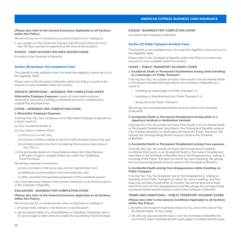#### <span id="page-14-0"></span>**(Please also refer to the General Exclusions Applicable to all Sections within this Policy).**

We will not pay for or reimburse any costs arising from or relating to:

1. any charges on Your American Express Card Account which are more than 90 days overdue for payment at the time of the accident.

#### **EXCESS - CARD ACCOUNT BALANCE WAIVER COVER**

As noted in the Schedule of Benefits.

#### **Section (B) Business Trip Completion Cover**

This benefit is only available when You meet the eligibility criteria set out in the Eligibility Table.

Please refer to the Schedule of Benefits within this Policy to confirm the amount of cover available under this section.

#### **SPECIFIC DEFINITIONS – BUSINESS TRIP COMPLETION COVER**

**Alternative Employee Expenses** means all reasonable expenses necessarily incurred in sending a substitute person to complete Your original Trip and objectives.

#### **COVER – BUSINESS TRIP COMPLETION COVER**

#### **1. Alternative Employee Expenses**

If during Your Trip, Your company incurs Alternative Employee Expenses as a direct result of:

- (a) Your Accidental Death; or
- (b) Your Injury or Illness which:
	- (i) first occurs on the Trip,
	- (ii) a Doctor certifies is likely to last the entire duration of Your Trip, and
	- (iii) entirely prevents You from completing the business objectives of Your Trip; or
- (c) the accidental death of a Close Relative where the Close Relative is 90 years of age or younger before You make Your Qualifying Travel Purchase;

We will pay expenses incurred for:

- a) return airfares at the same class as the original ticket; and
- b) additional accommodation and meal expenses; and
- c) other essential transportation expenses of the substitute person

up to the maximum relevant cover section inclusive of sub-limits as shown in the Schedule of Benefits.

#### **EXCLUSIONS - BUSINESS TRIP COMPLETION COVER**

#### **(Please also refer to the General Exclusions Applicable to all Sections within this Policy).**

We will not pay for or reimburse any costs arising from or relating to:

1. privately hired, rented or chartered air or sea transport.

2. the accidental death of a Close Relative or Travelling Companion who is 91 years of age or older when You made Your Qualifying Travel Purchase.

#### **EXCESS - BUSINESS TRIP COMPLETION COVER**

As noted in the Schedule of Benefits.

#### **Section (C) Public Transport Accident Cover**

This benefit is only available when You meet the eligibility criteria set out in the Eligibility Table.

Please refer to the Schedule of Benefits within this Policy to confirm the amount of cover available under this section.

#### **COVER – PUBLIC TRANSPORT ACCIDENT COVER**

#### **1. Accidental Death or Permanent Disablement arising while travelling as a passenger on Public Transport**

If during Your Trip, You sustain an Injury that results in an Accidental Death or Permanent Disablement described in the Schedule of Benefits as a result of:

- travelling as a passenger on Public Transport, or
- boarding or disembarking from Public Transport, or
- being struck by Public Transport,

We will pay the corresponding benefit amount noted in the Schedule of Benefits.

#### **2. Accidental Death or Permanent Disablement arising while in a departure terminal or destination terminal**

If during Your Trip, You sustain an Injury that results in an Accidental Death or Permanent Disablement described in the Schedule of Benefits while at Your ticketed departure or destination terminal of a Public Transport, We will pay the corresponding benefit amount noted in the Schedule of Benefits.

#### **3. Accidental Death or Permanent Disablement arising from exposure**

If during Your Trip, You sustain an Injury due to exposure to weather conditions that results in an Accidental Death or Permanent Disablement described in the Schedule of Benefits due to the disappearance, sinking or wrecking of the Public Transport on which You were travelling, We will pay the corresponding benefit amount noted in the Schedule of Benefits.

#### **4. Accidental Death arising from disappearance while travelling on Public Transport**

If during Your Trip, You disappear due to the disappearance, sinking or wrecking of the Public Transport on which You were travelling, and Your body has not been found within 12 months, You will be deemed to have died at the time of Your disappearance and We will pay the corresponding Accidental Death benefit amount noted in the Schedule of Benefits.

#### **TERMS AND CONDITIONS – PUBLIC TRANSPORT ACCIDENT COVER**

#### **(Please also refer to the General Conditions Applicable to all Sections within this Policy).**

- 1. Benefits will be paid in Australian dollars to You, and in the case of Your Accidental Death, to Your estate.
- 2. We will only pay one benefit type (i-vii in the Schedule of Benefits) for each Event, even if multiple benefit types apply. If multiple benefit types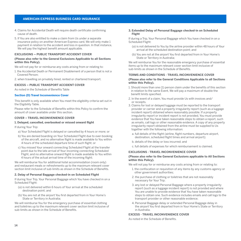- <span id="page-15-0"></span>4. Claims for Accidental Death will require death certificate confirming cause of death.
- 5. If You are also entitled to make a claim from Us under a separate insurance policy on another American Express card, We will only make 1 payment in relation to the accident and loss in question. In that instance, We will pay the highest benefit amount applicable.

#### **EXCLUSIONS – PUBLIC TRANSPORT ACCIDENT COVER**

#### **(Please also refer to the General Exclusions Applicable to all Sections within this Policy).**

We will not pay for or reimburse any costs arising from or relating to:

- 1. the Accidental Death or Permanent Disablement of a person that is not a Covered Person;
- 2. when travelling on privately hired, rented or chartered transport.

#### **EXCESS – PUBLIC TRANSPORT ACCIDENT COVER**

As noted in the Schedule of Benefits Table

#### **Section (D) Travel Inconvenience Cover**

This benefit is only available when You meet the eligibility criteria set out in the Eligibility Table.

Please refer to the Schedule of Benefits within this Policy to confirm the amount of cover available under this section.

#### **COVER – TRAVEL INCONVENIENCE COVER**

#### **1. Delayed, cancelled, overbooked or missed onward flight**

If during Your Trip:

- a) Your Scheduled Flight is delayed or cancelled by 4 hours or more; or
- b) You are denied boarding on Your Scheduled Flight due to over-booking of the aircraft, and no alternative flight is made available to You within 4 hours of the scheduled departure time of such flight; or
- c) You missed Your onward connecting Scheduled Flight at the transfer point due to the late arrival of Your incoming connecting Scheduled Flight, and no alternative onward flight is made available to You within 4 hours of the actual arrival time of the incoming flight;

We will reimburse You for additional hotel accommodation (room only) and restaurant meals or refreshments up to the maximum relevant cover section limit inclusive of sub-limits as shown in the Schedule of Benefits.

#### **2. Delay of Personal Baggage checked-in on Scheduled Flight**

If during Your Trip, Your Personal Baggage which You have checked in on a Scheduled Flight:

- (a) is not delivered within 6 hours of Your arrival at the scheduled destination point; and
- (b) You are not at the airport You first departed from in Your Home's State or Territory in Australia;

We will reimburse You for the emergency purchase of essential clothing and toiletries up to the maximum relevant cover section limit inclusive of sub-limits as shown in the Schedule of Benefits.

#### **3. Extended Delay of Personal Baggage checked-in on Scheduled Flight**

If during a Trip, Your Personal Baggage which You have checked in on a Scheduled Flight:

- (a) is not delivered to You by the airline provider within 48 hours of Your arrival at the scheduled destination point; and
- (b) You are not at the airport You first departed from in Your Home's State or Territory in Australia;

We will reimburse You for the reasonable emergency purchase of essential items up to the maximum relevant cover section limit inclusive of sub-limits as shown in the Schedule of Benefits.

#### **TERMS AND CONDITIONS - TRAVEL INCONVENIENCE COVER**

#### **(Please also refer to the General Conditions Applicable to all Sections within this Policy).**

- 1. Should more than one (1) person claim under the benefits of this section in relation to the same Event, We will pay a maximum of double the benefit limits specified.
- 2. In the event of a claim, You must provide Us with invoices and/ or receipts.
- 3. Claims for lost or delayed luggage must be reported to the transport provider or carrier and a property irregularity report (such as a luggage incident report) obtained where reasonably possible. If a property irregularity report or incident report is not provided, You must provide evidence that You have taken reasonable steps to obtain a report, such as emails, call logs or other reasonable evidence. A copy of any property irregularity report obtained from the airline must be supplied to Us together with the following information:
	- a. full details of the flight (airline, flight numbers, departure airport, destination, scheduled flight times and arrival airport);
	- b. details of the delay or loss incurred; and
	- c. full details of expenses for which reimbursement is claimed.

#### **EXCLUSIONS - TRAVEL INCONVENIENCE COVER**

#### **(Please also refer to the General Exclusions applicable to All Sections within this Policy).**

We will not pay for or reimburse any costs arising from or relating to:

- 1. the confiscation or requisition of any items by any customs agency or other government authorities;
- 2. the purchase of clothing or toiletries that are not reasonably necessary for Your Trip;
- 3. any lost or delayed Personal Baggage where a property irregularity report (such as a luggage incident report) is not provided and where You are unable to provide evidence that You have taken reasonable steps to obtain one. Such evidence includes emails and call logs to the transport provider or other reasonable evidence;
- 4. Personal Baggage delay or extended Personal Baggage delay in the airport You first departed from in Your Home's State or Territory in Australia.

#### **EXCESS - TRAVEL INCONVENIENCE COVER**

As noted in the Schedule of Benefits.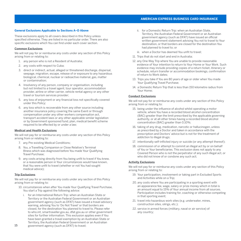#### <span id="page-16-0"></span>**General Exclusions Applicable to Sections A–D Above**

These exclusions apply to all covers described in this Policy unless specified otherwise. They are listed in no particular order. There are also specific exclusions which You can find under each cover section.

#### **Common Exclusions**

We will not pay for or reimburse any costs under any section of this Policy arising from or relating to:

- 1. any person who is not a Resident of Australia;
- 2. any costs with respect to Cuba;
- 3. direct or indirect, actual, alleged or threatened discharge, dispersal, seepage, migration, escape, release of or exposure to any hazardous biological, chemical, nuclear or radioactive material, gas, matter or contamination;
- 4. Insolvency of any person, company or organisation, including but not limited to a travel agent, tour operator, accommodation provider, airline or other carrier, vehicle rental agency or any other travel or tourism services provider;
- 5. any loss of enjoyment or any financial loss not specifically covered under this Policy;
- 6. any loss which is recoverable from any other source including another insurance policy covering the same Event or through compensation under any other workers compensation act, transport accident laws or any other applicable similar legislation or by Government sponsored fund, plan, medical benefit scheme required to be effected by or under a law;

#### **Medical and Health Exclusions**

We will not pay for or reimburse any costs under any section of this Policy arising from or relating to:

- 7. any Pre-existing Medical Conditions;
- 8. You, a Travelling Companion or Close Relative's Terminal Illness which was diagnosed before You made Your Qualifying Travel Purchase;
- 9. any costs arising directly from You being unfit to travel if You knew, or a reasonable person in Your circumstances would have known, that You were unfit to travel (whether or not You had sought medical advice);

#### **Trip Exclusions**

We will not pay for or reimburse any costs under any section of this Policy arising from or relating to:

- 10. circumstances when after You made Your Qualifying Travel Purchase, You start a Trip against the following advice:
	- i. for an International Return Trip: when an Australian State or Territory or the Australian Federal Government or an Australian government agency (such as DFAT) have issued a travel advisory warning, advising You to 'Do Not Travel' or that borders are closed, for the destination You planned to travel to. Please refer to who.int, smartraveller.gov.au, dfat.gov.au or other government sites for further information. This exclusion applies even if You have been granted a travel exemption by an Australian State or Territory, the Australian Federal Government or an Australian government agency (such as DFAT) to travel;
- ii. for a Domestic Return Trip: when an Australian State, Territory, the Australian Federal Government or an Australian government agency (such as DFAT) have issued an official written government statement advising You not to travel to Your destination, or that borders are closed for the destination You had planned to travel to; or
- iii. when a Doctor has deemed You unfit to travel;
- 11. Trips that do not start and end in Australia;
- 12. any One-Way Trip where You are unable to provide reasonable evidence of Your intention to return to Your Home or Your Work. Such evidence may include providing copies of a return ticket, itinerary or schedule, return transfer or accommodation bookings, confirmation of return to Work dates;
- 13. Trips you take if You are 80 years of age or older when You made Your Qualifying Travel Purchase;
- 14. a Domestic Return Trip that is less than 150 kilometre radius from Your Home;

#### **Conduct Exclusions**

We will not pay for or reimburse any costs under any section of this Policy arising from or relating to:

- 15. being under the influence of alcohol whilst operating a motor vehicle, where You have a recorded blood alcohol concentration (BAC) greater than the limit prescribed by the applicable governing authority, or at all other times having a recorded blood alcohol concentration (BAC) greater than 0.10%;
- 16. taking of any drug, medication, narcotic or hallucinogen, unless as prescribed by a Doctor and taken in accordance with the prescription and Doctors' advice but is not for the treatment of addiction to illegal drugs;
- 17. intentionally self-inflicted injury or suicide (or any attempt thereof);
- 18. commission of or attempt to commit an illegal act by or on behalf of You or Your beneficiaries. This exclusion does not apply to any Covered Person who is not the perpetrator of any such illegal act, or who did not know of or condone any such act;

#### **Activity Exclusions**

We will not pay for or reimburse any costs under any section of this Policy arising from or relating to:

- 19. Your participation, involvement or taking part in Excluded Sports and Activities while on a Trip;
- 20. any costs where You are participating in a sporting event with an appearance fee, wage, salary or prize money which in total is an amount equal to 15% of Your annual income from all sources. Participation includes training for, coaching or otherwise competing in that sporting event;
- 21. travel into hazardous work sites (e.g. underwater, mines, construction sites, oilrigs, etc.);
- 22. service in armed forces (military, naval or air service) of any country;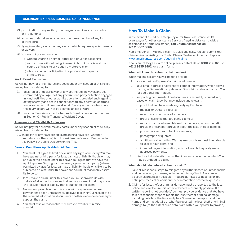- <span id="page-17-0"></span>23. participation in any military or emergency services such as police or fire-fighting;
- 24. activities undertaken as an operator or crew member of any form of transport;
- 25. flying in military aircraft or any aircraft which requires special permits or waivers;
- 26. You are riding a motorcycle:
	- a) without wearing a helmet (either as a driver or passenger);
	- b) as the driver without being licensed in both Australia and the country of travel to drive such a motorcycle; or
	- c) whilst racing or participating in a professional capacity or motocross.

#### **World Event Exclusions**

We will not pay for or reimburse any costs under any section of this Policy arising from or relating to:

- 27. declared or undeclared war or any act thereof; however, any act committed by an agent of any government, party or faction engaged in war, hostilities or other warlike operations provided such agent is acting secretly and not in connection with any operation of armed forces (whether military, naval, or air forces) in the country where the injury occurs will not be deemed an act of war;
- 28. an act of Terrorism except when such Event occurs under the cover in Section C - Public Transport Accident Cover.

#### **Pregnancy and Childbirth Exclusions**

We will not pay for or reimburse any costs under any section of this Policy arising from or relating to:

29. childbirth or any newborn child, meaning a newborn (whether premature or otherwise) is not considered a Covered Person under this Policy if the child was born on the Trip.

#### **General Conditions Applicable to All Sections**

- 1. You must not agree to limit or exclude any right of recovery You may have against a third party for loss, damage or liability that is or may be subject to a claim under this cover. You agree that We have the right to pursue Your rights of recovery against a third party (where permitted by law) for loss, damage or liability that is or is likely to be subject to a claim under this cover and You must reasonably assist Us to do so.
- 2. If You make a claim under this cover, You must provide Us with details of all other insurances that You are aware of that may cover the loss, damage or liability that is subject to the claim.
- 3. No amount payable under this cover will carry interest unless payment has been unreasonably delayed following Our receipt of all the required information, documents or other evidence necessary to support the claim.
- 4. You must take all reasonable measures to avoid or minimise any claim.

## **How To Make A Claim**

In the event of a medical emergency or for travel assistance whilst overseas, or for other Assistance Services (legal assistance, roadside assistance or Home Assistance) **call Chubb Assistance on +61 2 8907 5666**

Non-emergency – Making a claim is quick and easy. You can submit Your claim online by visiting the Chubb Claims Centre for American Express: [www.americanexpress.com/australia/claims](https://studio.chubb.com/claims/amex/au/default/en-US/Landing)

If You cannot lodge a claim online, please contact Us on **1800 236 023** or **+61 2 9335 3492** for a claim form.

#### **What will I need to submit a claim online?**

When making a claim You will need to provide:

- 1. Your American Express Card Account number.
- 2. Your email address or alternative contact information, which allows Us to give You real-time updates on Your claim status or contact You for additional information.
- 3. supporting documents. The documents reasonably required vary based on claim type, but may include any relevant:
	- proof that You have made a Qualifying Purchase;
	- medical or Doctors' reports;
	- receipts or other proof of expenses;
	- proof of earnings that are being claimed;
	- reports that have been obtained by the police; accommodation provider or transport provider about the loss, theft or damage;
	- product warranties or bank statements;
	- photographs or quotes;
	- additional evidence that We may reasonably request to enable Us to assess Your claim; and
	- intended payee information, which allows Us to quickly make approved payments.
- 4. disclose to Us details of any other insurance cover under which You may be entitled to claim.

#### **What should I do before I submit a claim?**

- 1. Take all reasonable steps to mitigate any further losses or unreasonable and unnecessary expenses, including notifying Chubb Assistance as soon as practically possible, if You are admitted to hospital or You anticipate medical or additional accommodation or travel expenses.
- 2. Claims for loss, theft or criminal damage must be reported to the local police and a written report obtained where reasonably possible. If a written report is not provided, You must provide evidence that You have taken reasonable steps to report the loss, theft or criminal damage including details of the time and place You made the report, and the name and contact details of who You reported the loss, theft or criminal damage to (to the extent such details are within your power to provide).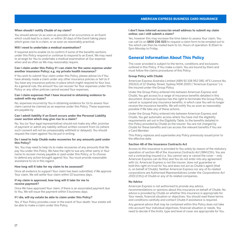#### <span id="page-18-0"></span>**When should I notify Chubb of my claim?**

You should advise Us as soon as possible of an occurrence or an Event which could lead to a claim, or within 30 days of the Event taking place which gives rise to a claim, or as soon as reasonably practical.

#### **Will I need to undertake a medical examination?**

If required and to enable Us to confirm if some of the benefits sections under this Policy respond or continue to respond to an Event, We may need to arrange for You to undertake a medical examination at Our expense when and as often as We may reasonably require.

#### **Can I claim under this Policy if I can claim for the same expense under another insurance Policy; e.g. my private health insurance?**

If You wish to submit Your claim under this Policy, please advise Us if You have already made a claim under any other insurance policies or tell Us if You have any insurance policies in place which might respond to Your loss. As a general rule, the amount You can recover for Your expenses under this Policy or any other policies cannot exceed Your expenses.

#### **Can I claim expenses that I have incurred in obtaining evidence to submit with my claim?**

No, expenses incurred by You in obtaining evidence for Us to assess Your claim cannot be claimed as an expense under this Policy. These expenses are payable by.

#### **Can I admit liability if an Event occurs under the Personal Liability cover section which may give rise to a claim?**

No, You (or Your legal representative) should not make any offer, promise of payment or admit any liability without written consent from Us (where such consent will not be unreasonably withheld or delayed). You should request the claim against You be put in writing.

#### **Do I need to help Chubb make recoveries for any amounts paid under this Policy?**

Yes, You may need to help Us to make recoveries of any amounts that We pay You under this Policy. We have the right to sue any other party in Your name to recover money payable or paid under this Policy, or to choose to defend any action brought against You. You must provide reasonable assistance to Us in this regard.

#### **How long will it take for my claim to be assessed?**

Once all evidence to support Your claim has been submitted, if We approve Your claim, We will settle Your claim within 10 business days.

#### **If my claim is approved, how long will it take for me to receive payment?**

Once We have approved Your claim, if there is an associated payment due to You, We will issue the payment within 5 business days.

#### **If I die, will my estate be able to claim under this Policy?**

Yes, if Your Policy provides cover in the event of Your death, Your estate will be able to make a claim under this Policy.

#### **I don't have internet access/an email address to submit my claim online; can I still submit a claim?**

Yes, however this may increase the time taken to assess Your claim. You can call Us on **1800 236 023** to request a claim form to be emailed out to You which can then be mailed back to Us. Hours of operation: 8:30am to 5pm Monday to Friday.

## **General Information About This Policy**

The cover provided is subject to the terms, conditions and exclusions outlined in this Policy. If You make a claim, You are bound by them and must follow the claims procedures of this Policy.

#### **Group Policy with Chubb**

American Express Australia Limited (ABN 92 108 952 085, AFS Licence No. 291313) of 12 Shelley Street, Sydney NSW 2000 ("American Express") is the insured under the Group Policy.

Under the Group Policy entered into between American Express and Chubb, You get access to a range of insurance benefits detailed in this document. American Express has the right to terminate the Group Policy, cancel or suspend any insurance benefits, in which case You will no longer receive the insurance benefits. We will notify You as soon as reasonably possible if We take any of these actions.

Under the Group Policy entered into between American Express and Chubb, You get automatic access where You have met the eligibility requirements set out in the Eligibility Table, to the benefits detailed in this Policy provided by Chubb as the insurer. You are not charged by Chubb for these benefits and can access the relevant benefits if You are a Card Member.

This Policy replaces and supersedes any Policy previously issued prior to the effective date.

#### **Section 48 of the Insurance Contracts Act**

Access to this insurance is provided to You solely by reason of the statutory operation of section 48 of the Insurance Contracts Act 1984 (Cth). You are not a contracting insured (i.e. You cannot vary or cancel the cover – only American Express can do this) and You do not enter into any agreement with Us. American Express is not the insurer, does not guarantee or hold this right on trust for You and does not act as Chubb's agent (that is, on behalf of Chubb). Neither American Express nor any of its related corporations are Authorised Representatives (under the Corporations Act 2001 (Cth)) of Chubb or any of its related companies.

#### **No Advice**

American Express is not authorised to provide any advice, recommendations or opinions about this insurance on behalf of Chubb. No advice is provided by Chubb on whether this insurance is appropriate for Your needs, financial situation or objectives. You should read these terms and conditions carefully and contact Chubb if assistance is required.

Any general advice that may be contained within this Policy does not take into account Your individual objectives, financial situation or needs. You need to decide if the limits, type and level of cover are appropriate for You.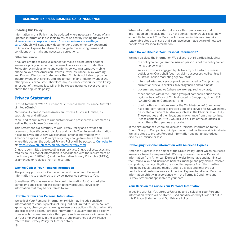#### <span id="page-19-0"></span>**Updating this Policy**

Information in this Policy may be updated where necessary. A copy of any updated information is available to You at no cost by visiting the website at [www.americanexpress.com/au/insurance/insurance-with-your](http://www.americanexpress.com/au/insurance/insurance-with-your-card/)[card/.](http://www.americanexpress.com/au/insurance/insurance-with-your-card/) Chubb will issue a new document or a supplementary document to American Express to advise of a change to the existing terms and conditions or to make any necessary corrections.

#### **Other Insurance**

If You are entitled to receive a benefit or make a claim under another insurance policy in respect of the same loss as Your claim under this Policy (for example a home and contents policy, an alternative mobile phone policy or the American Express Travel Insurance Policy Wording and Product Disclosure Statement), then Chubb is not liable to provide indemnity under this Policy until the amount of any indemnity under the other policy is exhausted. Therefore, any insurance cover under this Policy in respect of the same loss will only be excess insurance cover over and above the applicable policy.

## **Privacy Statement**

In this Statement "We", "Our" and "Us" means Chubb Insurance Australia Limited (**Chubb**).

"American Express" means American Express Australia Limited, its subsidiaries and affiliates.

"You" and "Your" refers to Our customers and prospective customers as well as those who use Our website.

This Statement is a summary of Our Privacy Policy and provides an overview of how We collect, disclose and handle Your Personal Information. It also tells you about how we exchange Personal Information with American Express. Our Privacy Policy may change from time to time and where this occurs, the updated Privacy Policy will be posted to [Our website](https://www.chubb.com/au-en/footer/privacy.html) at:<https://www.chubb.com/au-en/footer/privacy.html>.

Chubb is committed to protecting Your privacy. Chubb collects, uses and retains Your Personal Information in accordance with the requirement of the Privacy Act 1988 (Cth) and the Australian Privacy Principles (**APPs**), as amended or replaced from time-to-time.

#### **Why We Collect Your Personal Information**

The primary purpose for Our collection and use of Your Personal Information is to enable Us to provide insurance services to You.

Sometimes, We may use Your Personal Information for Our marketing campaigns and research, in relation to new products, services or information that may be of interest to You.

#### **How We Obtain Your Personal Information**

We collect Your Personal Information (which may include sensitive information) at various points including, but not limited to, when You are applying for, changing or renewing an insurance policy with Us or when We are processing a claim. Personal Information is usually obtained directly from You, but sometimes via a third party such an insurance intermediary or Your employer (e.g. in the case of a group insurance policy). Please refer to Our Privacy Policy for further details.

When information is provided to Us via a third party We use that information on the basis that You have consented or would reasonably expect Us to collect Your Personal Information in this way. We take reasonable steps to ensure that You have been made aware of how We handle Your Personal Information.

#### **When Do We Disclose Your Personal Information?**

We may disclose the information We collect to third parties, including:

- the policyholder (where the insured person is not the policyholder, i.e., group policies);
- service providers engaged by Us to carry out certain business activities on Our behalf (such as claims assessors, call centres in Australia, online marketing agency, etc);
- intermediaries and service providers engaged by You (such as current or previous brokers, travel agencies and airlines);
- government agencies (where We are required to by law);
- other entities within the Chubb group of companies such as the regional head offices of Chubb located in Singapore, UK or USA (Chubb Group of Companies); and
- third parties with whom We (or the Chubb Group of Companies) have sub-contracted to provide a specific service for Us, which may be located outside of Australia (such as in the Philippines or USA). These entities and their locations may change from time-to-time. Please contact Us, if You would like a full list of the countries in which these third parties are located.

In the circumstances where We disclose Personal Information to the Chubb Group of Companies, third parties or third parties outside Australia We take steps to protect Personal Information against unauthorised disclosure, misuse or loss.

#### **Exchanging Personal Information With American Express**

American Express is the holder of the Group Policy under which Your card insurance benefits are provided. We may share and receive Personal Information from American Express in order to manage and administer the Group Policy and insurance benefits, manage and pay claims, resolve complaints, manage litigation, respond to requests from third parties (including regulators and media), and to develop and improve our products and customer service. American Express handles all Personal Information strictly in accordance with the Terms & Conditions and Privacy Statement applicable to your card.

#### **Your Decision to Provide Your Personal Information**

In dealing with Us, You agree to Us using and disclosing Your Personal Information, which will be stored, used and disclosed by Us as set out in this Privacy Statement and Our Privacy Policy.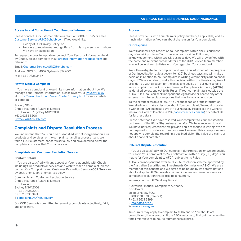#### <span id="page-20-0"></span>**Access to and Correction of Your Personal Information**

Please contact Our customer relations team on 1800 815 675 or email [CustomerService.AUNZ@chubb.com](mailto:CustomerService.AUNZ%40chubb.com?subject=) if You would like:

- a copy of Our Privacy Policy, or
- to cease to receive marketing offers from Us or persons with whom We have an association.

To request access to, update or correct Your Personal Information held by Chubb, please complete this [Personal Information request form](https://www.chubb.com/content/dam/chubb-sites/chubb-com/au-en/footer/privacy/documents/pdf/2014-03-05-personal-information-request-form.pdf) and return to:

Email: [CustomerService.AUNZ@chubb.com](mailto:CustomerService.AUNZ%40chubb.com?subject=)

Address: GPO Box 4907 Sydney NSW 2001

Fax: + 61 2 9335 3467

#### **How to Make a Complaint**

If You have a complaint or would like more information about how We manage Your Personal Information, please review Our Privacy Policy at<https://www.chubb.com/au-en/footer/privacy.html> for more details, or contact:

Privacy Officer Chubb Insurance Australia Limited GPO Box 4907 Sydney NSW 2001 +61 2 9335 3200 [Privacy.AU@chubb.com](mailto:Privacy.AU%40chubb.com?subject=).

### **Complaints and Dispute Resolution Process**

We understand that You could be dissatisfied with Our organisation, Our products and services, or the complaints handling process itself. We take all Our customers' concerns seriously and have detailed below the complaints process that You can access.

#### **Complaints and Customer Resolution Service**

#### **Contact Details**

If You are dissatisfied with any aspect of Your relationship with Chubb including Our products or services and wish to make a complaint, please contact Our Complaints and Customer Resolution Service (**CCR Service**) by post, phone, fax, or email, (as below):

Complaints and Customer Resolution Service Chubb Insurance Australia Limited GPO Box 4065 Sydney NSW 2001 P +61 2 9335 3200 F +61 2 9335 3411 E [complaints.AU@chubb.com](mailto:complaints.AU%40chubb.com?subject=)

Our CCR Service is committed to reviewing complaints objectively, fairly and efficiently.

#### **Process**

Please provide Us with Your claim or policy number (if applicable) and as much information as You can about the reason for Your complaint.

#### **Our response**

We will acknowledge receipt of Your complaint within one (1) business day of receiving it from You, or as soon as possible. Following acknowledgement, within two (2) business days We will provide You with the name and relevant contact details of the CCR Service team member who will be assigned to liaise with You regarding Your complaint.

We will investigate Your complaint and keep You informed of the progress of Our investigation at least every ten (10) business days and will make a decision in relation to Your complaint in writing within thirty (30) calendar days. If We are unable to make this decision within this timeframe, We will provide You with a reason for the delay and advise of Your right to take Your complaint to the Australian Financial Complaints Authority (**AFCA**) as detailed below, subject to its Rules. If Your complaint falls outside the AFCA Rules, You can seek independent legal advice or access any other external dispute resolution options that may be available to You.

To the extent allowable at law, if You request copies of the information We relied on to make a decision about Your complaint. We must provide it within ten (10) business days of Your request. Please see the General Insurance Code of Practice 2020 ([codeofpractice.com.au\)](https://insurancecouncil.com.au/cop/?playlist=94ebe71&video=611a424) or contact Us for further details.

Please note that if We have resolved Your complaint to Your satisfaction by the end of the fifth (5th) business day after We have received it, and You have not requested that We provide You a response in writing, We are not required to provide a written response. However, this exemption does not apply to complaints regarding a declined claim, the value of a claim, or about financial hardship.

#### **External Dispute Resolution**

If You are dissatisfied with Our complaint determination, or We are unable to resolve Your complaint to Your satisfaction within thirty (30) days, You may refer Your complaint to AFCA, subject to its Rules.

AFCA is an independent external dispute resolution scheme approved by the Australian Securities and Investments Commission (**ASIC**). We are a member of this scheme and We agree to be bound by its determinations about a dispute. AFCA provides fair and independent financial services complaint resolution that is free to consumers.

You may contact AFCA at any time at:

Australian Financial Complaints Authority GPO Box 3 Melbourne VIC 3001 P 1800 931 678 (free call) F +61 3 9613 6399 E [info@afca.org.au](mailto:info%40afca.org.au?subject=) W [www.afca.org.au](https://www.afca.org.au/)

Time limits may apply to complain to AFCA and so You should act promptly or otherwise consult the AFCA website to find out if or when the time limit relevant to Your circumstances expires.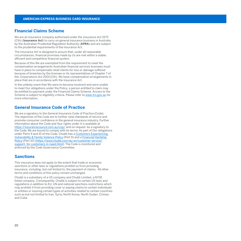## <span id="page-21-0"></span>**Financial Claims Scheme**

We are an insurance company authorised under the *Insurance Act 1973* (Cth) (**Insurance Act**) to carry on general insurance business in Australia by the Australian Prudential Regulation Authority (**APRA**) and are subject to the prudential requirements of the Insurance Act.

The Insurance Act is designed to ensure that, under all reasonable circumstances, financial promises made by Us are met within a stable, efficient and competitive financial system.

Because of this We are exempted from the requirement to meet the compensation arrangements Australian financial services licensees must have in place to compensate retail clients for loss or damage suffered because of breaches by the licensee or its representatives of Chapter 7 of the Corporations Act 2001 (Cth). We have compensation arrangements in place that are in accordance with the Insurance Act.

In the unlikely event that We were to become insolvent and were unable to meet Our obligations under the Policy, a person entitled to claim may be entitled to payment under the Financial Claims Scheme. Access to the Scheme is subject to eligibility criteria. Please refer to [www.fcs.gov.au](https://www.apra.gov.au/financial-claims-scheme-0) for more information.

### **General Insurance Code of Practice**

We are a signatory to the General Insurance Code of Practice (Code). The objectives of the Code are to further raise standards of service and promote consumer confidence in the general insurance industry. Further information about the Code and Your rights under it is available at <https://insurancecouncil.com.au/cop/> and on request. As a signatory to the Code, We are bound to comply with its terms. As part of Our obligations under Parts 9 and 10 of the Code, Chubb has a [Customers Experiencing](https://www.chubb.com/au-en/customer-service/support-for-customers-in-need.html)  [Vulnerability & Family Violence Policy](https://www.chubb.com/au-en/customer-service/support-for-customers-in-need.html) (Part 9) and a [Financial Hardship](https://www.chubb.com/au-en/customer-service/financial-hardship-policy.html)  [Policy](https://www.chubb.com/au-en/customer-service/financial-hardship-policy.html) (Part 10) ([https://www.chubb.com/au-en/customer-service/](https://www.chubb.com/au-en/customer-service/support- for-customers-in-need.html) [support- for-customers-in-need.html](https://www.chubb.com/au-en/customer-service/support- for-customers-in-need.html)). The Code is monitored and enforced by the Code Governance Committee.

## **Sanctions**

This insurance does not apply to the extent that trade or economic sanctions or other laws or regulations prohibit us from providing insurance, including, but not limited to, the payment of claims. All other terms and conditions of this policy remain unchanged.

Chubb is a subsidiary of a US company and Chubb Limited, a NYSE listed company. Consequently, Chubb is subject to certain US laws and regulations in addition to EU, UN and national sanctions restrictions which may prohibit it from providing cover or paying claims to certain individuals or entities or insuring certain types of activities related to certain countries such as but not limited to Iran, Syria, North Korea, North Sudan, Crimea and Cuba.